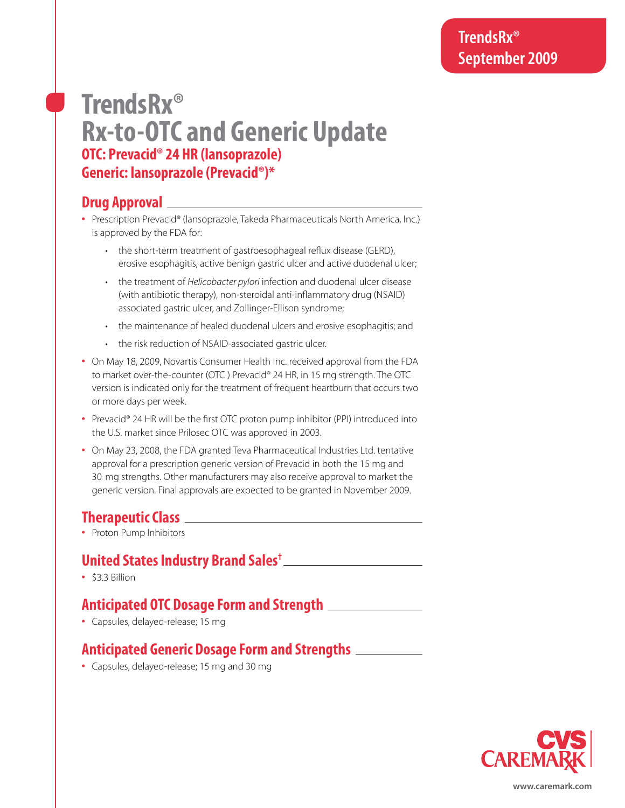# **TrendsRx® Rx-to-OTC and Generic Update OTC: Prevacid® 24 HR (lansoprazole) Generic: lansoprazole (Prevacid®)\***

## **Drug Approval**

- **•** Prescription Prevacid® (lansoprazole, Takeda Pharmaceuticals North America, Inc.) is approved by the FDA for:
	- the short-term treatment of gastroesophageal reflux disease (GERD), erosive esophagitis, active benign gastric ulcer and active duodenal ulcer;
	- the treatment of *Helicobacter pylori* infection and duodenal ulcer disease (with antibiotic therapy), non-steroidal anti-inflammatory drug (NSAID) associated gastric ulcer, and Zollinger-Ellison syndrome;
	- the maintenance of healed duodenal ulcers and erosive esophagitis; and
	- the risk reduction of NSAID-associated gastric ulcer.
- **•** On May 18, 2009, Novartis Consumer Health Inc. received approval from the FDA to market over-the-counter (OTC ) Prevacid® 24 HR, in 15 mg strength. The OTC version is indicated only for the treatment of frequent heartburn that occurs two or more days per week.
- **•** Prevacid® 24 HR will be the first OTC proton pump inhibitor (PPI) introduced into the U.S. market since Prilosec OTC was approved in 2003.
- **•** On May 23, 2008, the FDA granted Teva Pharmaceutical Industries Ltd. tentative approval for a prescription generic version of Prevacid in both the 15 mg and 30 mg strengths. Other manufacturers may also receive approval to market the generic version. Final approvals are expected to be granted in November 2009.

## **Therapeutic Class**

**•** Proton Pump Inhibitors

## **United States Industry Brand Sales†**

**•** \$3.3 Billion

#### **Anticipated OTC Dosage Form and Strength**

**•** Capsules, delayed-release; 15 mg

## **Anticipated Generic Dosage Form and Strengths**

**•** Capsules, delayed-release; 15 mg and 30 mg



**www.caremark.com**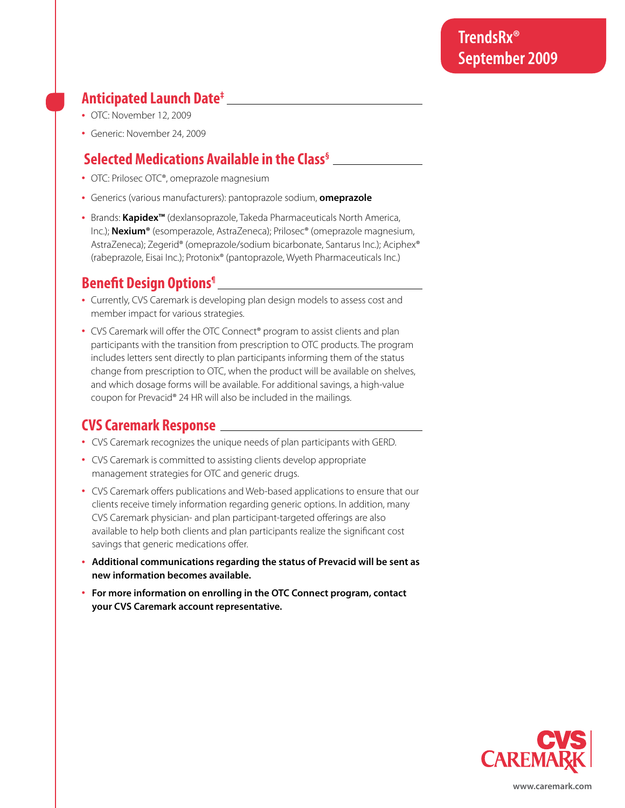## **Anticipated Launch Date‡**

- **•** OTC: November 12, 2009
- **•** Generic: November 24, 2009

## **Selected Medications Available in the Class§**

- **•** OTC: Prilosec OTC®, omeprazole magnesium
- **•** Generics (various manufacturers): pantoprazole sodium, **omeprazole**
- **•** Brands: **Kapidex™** (dexlansoprazole, Takeda Pharmaceuticals North America, Inc.); **Nexium®** (esomperazole, AstraZeneca); Prilosec® (omeprazole magnesium, AstraZeneca); Zegerid® (omeprazole/sodium bicarbonate, Santarus Inc.); Aciphex® (rabeprazole, Eisai Inc.); Protonix® (pantoprazole, Wyeth Pharmaceuticals Inc.)

## **Benefit Design Options¶**

- **•** Currently, CVS Caremark is developing plan design models to assess cost and member impact for various strategies.
- **•** CVS Caremark will offer the OTC Connect® program to assist clients and plan participants with the transition from prescription to OTC products. The program includes letters sent directly to plan participants informing them of the status change from prescription to OTC, when the product will be available on shelves, and which dosage forms will be available. For additional savings, a high-value coupon for Prevacid® 24 HR will also be included in the mailings.

## **CVS Caremark Response**

- **•** CVS Caremark recognizes the unique needs of plan participants with GERD.
- **•** CVS Caremark is committed to assisting clients develop appropriate management strategies for OTC and generic drugs.
- **•** CVS Caremark offers publications and Web-based applications to ensure that our clients receive timely information regarding generic options. In addition, many CVS Caremark physician- and plan participant-targeted offerings are also available to help both clients and plan participants realize the significant cost savings that generic medications offer.
- **• Additional communications regarding the status of Prevacid will be sent as new information becomes available.**
- **• For more information on enrolling in the OTC Connect program, contact your CVS Caremark account representative.**



**www.caremark.com**